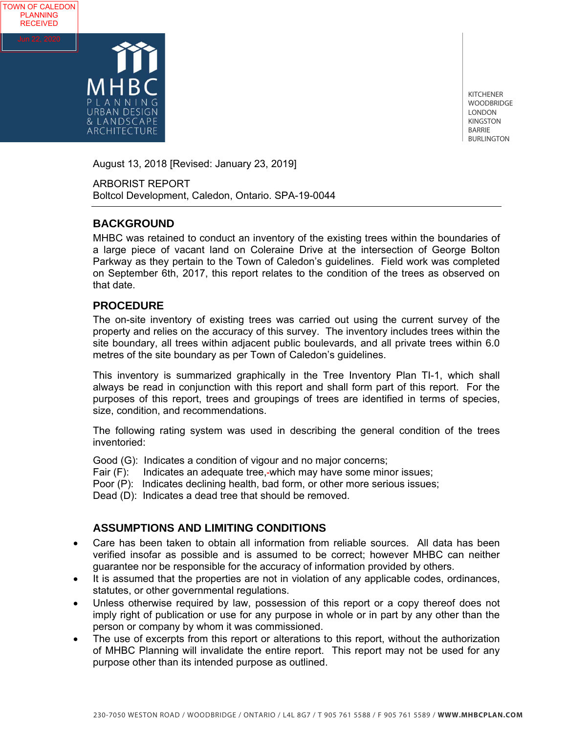

TOWN OF CALEDON PLANNING **RECEIVED** 

> KITCHENER WOODBRIDGE LONDON KINGSTON BARRIE BURLINGTON

August 13, 2018 [Revised: January 23, 2019]

ARBORIST REPORT Boltcol Development, Caledon, Ontario. SPA-19-0044

# **BACKGROUND**

MHBC was retained to conduct an inventory of the existing trees within the boundaries of a large piece of vacant land on Coleraine Drive at the intersection of George Bolton Parkway as they pertain to the Town of Caledon's guidelines. Field work was completed on September 6th, 2017, this report relates to the condition of the trees as observed on that date.

# **PROCEDURE**

The on-site inventory of existing trees was carried out using the current survey of the property and relies on the accuracy of this survey. The inventory includes trees within the site boundary, all trees within adjacent public boulevards, and all private trees within 6.0 metres of the site boundary as per Town of Caledon's guidelines.

This inventory is summarized graphically in the Tree Inventory Plan TI-1, which shall always be read in conjunction with this report and shall form part of this report. For the purposes of this report, trees and groupings of trees are identified in terms of species, size, condition, and recommendations.

The following rating system was used in describing the general condition of the trees inventoried:

Good (G): Indicates a condition of vigour and no major concerns;

Fair (F): Indicates an adequate tree, which may have some minor issues;

Poor (P): Indicates declining health, bad form, or other more serious issues;

Dead (D): Indicates a dead tree that should be removed.

# **ASSUMPTIONS AND LIMITING CONDITIONS**

- Care has been taken to obtain all information from reliable sources. All data has been verified insofar as possible and is assumed to be correct; however MHBC can neither guarantee nor be responsible for the accuracy of information provided by others.
- It is assumed that the properties are not in violation of any applicable codes, ordinances, statutes, or other governmental regulations.
- Unless otherwise required by law, possession of this report or a copy thereof does not imply right of publication or use for any purpose in whole or in part by any other than the person or company by whom it was commissioned.
- The use of excerpts from this report or alterations to this report, without the authorization of MHBC Planning will invalidate the entire report. This report may not be used for any purpose other than its intended purpose as outlined.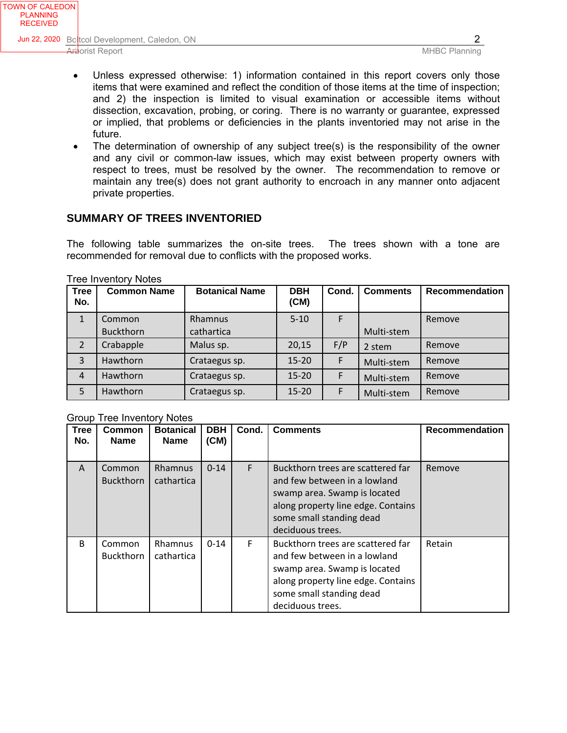- Unless expressed otherwise: 1) information contained in this report covers only those items that were examined and reflect the condition of those items at the time of inspection; and 2) the inspection is limited to visual examination or accessible items without dissection, excavation, probing, or coring. There is no warranty or guarantee, expressed or implied, that problems or deficiencies in the plants inventoried may not arise in the future.
- The determination of ownership of any subject tree(s) is the responsibility of the owner and any civil or common-law issues, which may exist between property owners with respect to trees, must be resolved by the owner. The recommendation to remove or maintain any tree(s) does not grant authority to encroach in any manner onto adjacent private properties.

# **SUMMARY OF TREES INVENTORIED**

The following table summarizes the on-site trees. The trees shown with a tone are recommended for removal due to conflicts with the proposed works.

| <b>Tree</b><br>No. | <b>Common Name</b> | <b>Botanical Name</b> | <b>DBH</b><br>(CM) | Cond. | <b>Comments</b> | <b>Recommendation</b> |
|--------------------|--------------------|-----------------------|--------------------|-------|-----------------|-----------------------|
| $\mathbf{1}$       | Common             | <b>Rhamnus</b>        | $5 - 10$           | F     |                 | Remove                |
|                    | Buckthorn          | cathartica            |                    |       | Multi-stem      |                       |
| $\overline{2}$     | Crabapple          | Malus sp.             | 20,15              | F/P   | 2 stem          | Remove                |
| 3                  | Hawthorn           | Crataegus sp.         | $15 - 20$          | F     | Multi-stem      | Remove                |
| $\overline{4}$     | Hawthorn           | Crataegus sp.         | $15 - 20$          | F     | Multi-stem      | Remove                |
| 5                  | Hawthorn           | Crataegus sp.         | $15 - 20$          | F     | Multi-stem      | Remove                |

Tree Inventory Notes

Group Tree Inventory Notes

| <b>Tree</b><br>No. | Common<br><b>Name</b>      | <b>Botanical</b><br><b>Name</b> | <b>DBH</b><br>(CM) | Cond. | <b>Comments</b>                                                                                                                                                                         | <b>Recommendation</b> |
|--------------------|----------------------------|---------------------------------|--------------------|-------|-----------------------------------------------------------------------------------------------------------------------------------------------------------------------------------------|-----------------------|
| A                  | Common<br><b>Buckthorn</b> | <b>Rhamnus</b><br>cathartica    | $0 - 14$           | F     | Buckthorn trees are scattered far<br>and few between in a lowland<br>swamp area. Swamp is located<br>along property line edge. Contains<br>some small standing dead<br>deciduous trees. | Remove                |
| B                  | Common<br><b>Buckthorn</b> | Rhamnus<br>cathartica           | $0 - 14$           | E     | Buckthorn trees are scattered far<br>and few between in a lowland<br>swamp area. Swamp is located<br>along property line edge. Contains<br>some small standing dead<br>deciduous trees. | Retain                |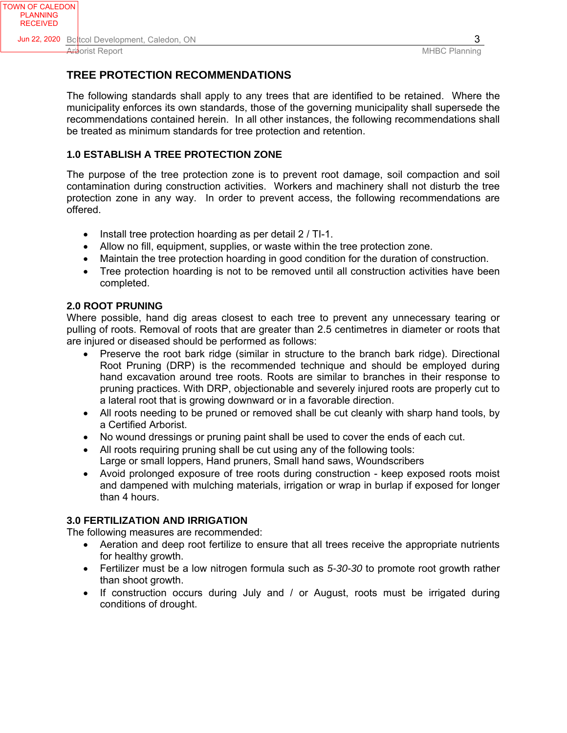# **TREE PROTECTION RECOMMENDATIONS**

The following standards shall apply to any trees that are identified to be retained. Where the municipality enforces its own standards, those of the governing municipality shall supersede the recommendations contained herein. In all other instances, the following recommendations shall be treated as minimum standards for tree protection and retention.

# **1.0 ESTABLISH A TREE PROTECTION ZONE**

The purpose of the tree protection zone is to prevent root damage, soil compaction and soil contamination during construction activities. Workers and machinery shall not disturb the tree protection zone in any way. In order to prevent access, the following recommendations are offered.

- Install tree protection hoarding as per detail 2 / TI-1.
- Allow no fill, equipment, supplies, or waste within the tree protection zone.
- Maintain the tree protection hoarding in good condition for the duration of construction.
- Tree protection hoarding is not to be removed until all construction activities have been completed.

## **2.0 ROOT PRUNING**

Where possible, hand dig areas closest to each tree to prevent any unnecessary tearing or pulling of roots. Removal of roots that are greater than 2.5 centimetres in diameter or roots that are injured or diseased should be performed as follows:

- Preserve the root bark ridge (similar in structure to the branch bark ridge). Directional Root Pruning (DRP) is the recommended technique and should be employed during hand excavation around tree roots. Roots are similar to branches in their response to pruning practices. With DRP, objectionable and severely injured roots are properly cut to a lateral root that is growing downward or in a favorable direction.
- All roots needing to be pruned or removed shall be cut cleanly with sharp hand tools, by a Certified Arborist.
- No wound dressings or pruning paint shall be used to cover the ends of each cut.
- All roots requiring pruning shall be cut using any of the following tools: Large or small loppers, Hand pruners, Small hand saws, Woundscribers
- Avoid prolonged exposure of tree roots during construction keep exposed roots moist and dampened with mulching materials, irrigation or wrap in burlap if exposed for longer than 4 hours.

## **3.0 FERTILIZATION AND IRRIGATION**

The following measures are recommended:

- Aeration and deep root fertilize to ensure that all trees receive the appropriate nutrients for healthy growth.
- Fertilizer must be a low nitrogen formula such as *5-30-30* to promote root growth rather than shoot growth.
- If construction occurs during July and / or August, roots must be irrigated during conditions of drought.